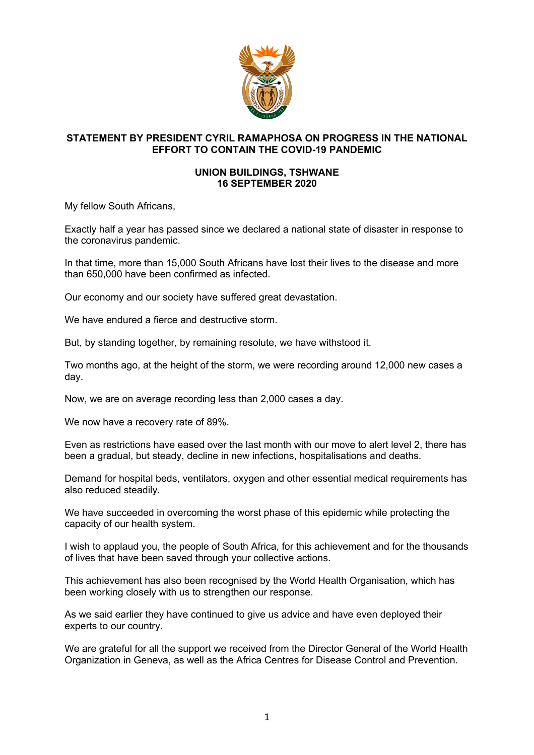

## **STATEMENT BY PRESIDENT CYRIL RAMAPHOSA ON PROGRESS IN THE NATIONAL EFFORT TO CONTAIN THE COVID-19 PANDEMIC**

## **UNION BUILDINGS, TSHWANE 16 SEPTEMBER 2020**

My fellow South Africans,

Exactly half a year has passed since we declared a national state of disaster in response to the coronavirus pandemic.

In that time, more than 15,000 South Africans have lost their lives to the disease and more than 650,000 have been confirmed as infected.

Our economy and our society have suffered great devastation.

We have endured a fierce and destructive storm.

But, by standing together, by remaining resolute, we have withstood it.

Two months ago, at the height of the storm, we were recording around 12,000 new cases a day.

Now, we are on average recording less than 2,000 cases a day.

We now have a recovery rate of 89%.

Even as restrictions have eased over the last month with our move to alert level 2, there has been a gradual, but steady, decline in new infections, hospitalisations and deaths.

Demand for hospital beds, ventilators, oxygen and other essential medical requirements has also reduced steadily.

We have succeeded in overcoming the worst phase of this epidemic while protecting the capacity of our health system.

I wish to applaud you, the people of South Africa, for this achievement and for the thousands of lives that have been saved through your collective actions.

This achievement has also been recognised by the World Health Organisation, which has been working closely with us to strengthen our response.

As we said earlier they have continued to give us advice and have even deployed their experts to our country.

We are grateful for all the support we received from the Director General of the World Health Organization in Geneva, as well as the Africa Centres for Disease Control and Prevention.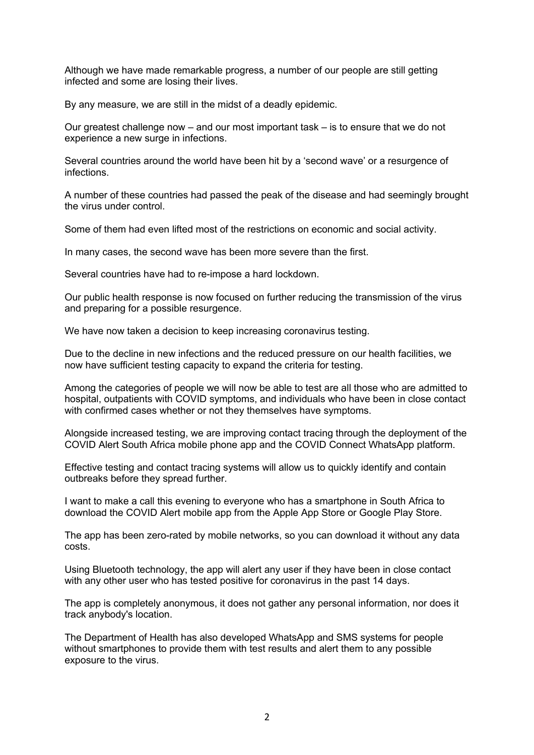Although we have made remarkable progress, a number of our people are still getting infected and some are losing their lives.

By any measure, we are still in the midst of a deadly epidemic.

Our greatest challenge now – and our most important task – is to ensure that we do not experience a new surge in infections.

Several countries around the world have been hit by a 'second wave' or a resurgence of infections.

A number of these countries had passed the peak of the disease and had seemingly brought the virus under control.

Some of them had even lifted most of the restrictions on economic and social activity.

In many cases, the second wave has been more severe than the first.

Several countries have had to re-impose a hard lockdown.

Our public health response is now focused on further reducing the transmission of the virus and preparing for a possible resurgence.

We have now taken a decision to keep increasing coronavirus testing.

Due to the decline in new infections and the reduced pressure on our health facilities, we now have sufficient testing capacity to expand the criteria for testing.

Among the categories of people we will now be able to test are all those who are admitted to hospital, outpatients with COVID symptoms, and individuals who have been in close contact with confirmed cases whether or not they themselves have symptoms.

Alongside increased testing, we are improving contact tracing through the deployment of the COVID Alert South Africa mobile phone app and the COVID Connect WhatsApp platform.

Effective testing and contact tracing systems will allow us to quickly identify and contain outbreaks before they spread further.

I want to make a call this evening to everyone who has a smartphone in South Africa to download the COVID Alert mobile app from the Apple App Store or Google Play Store.

The app has been zero-rated by mobile networks, so you can download it without any data costs.

Using Bluetooth technology, the app will alert any user if they have been in close contact with any other user who has tested positive for coronavirus in the past 14 days.

The app is completely anonymous, it does not gather any personal information, nor does it track anybody's location.

The Department of Health has also developed WhatsApp and SMS systems for people without smartphones to provide them with test results and alert them to any possible exposure to the virus.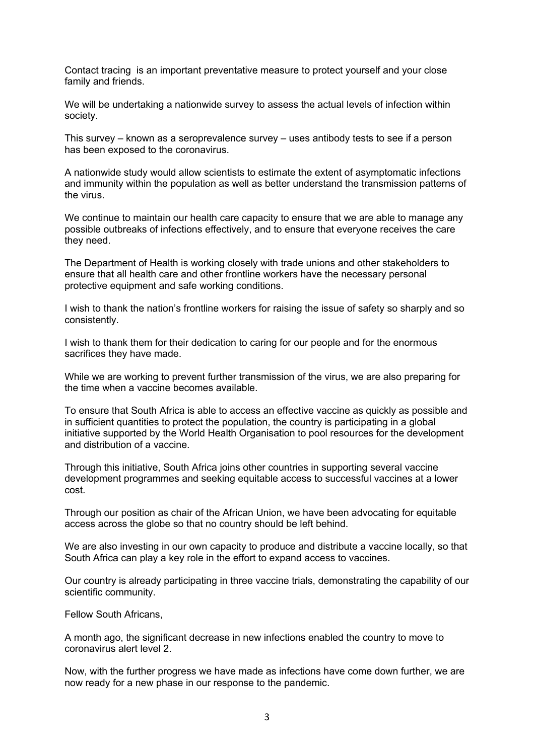Contact tracing is an important preventative measure to protect yourself and your close family and friends.

We will be undertaking a nationwide survey to assess the actual levels of infection within society.

This survey – known as a seroprevalence survey – uses antibody tests to see if a person has been exposed to the coronavirus.

A nationwide study would allow scientists to estimate the extent of asymptomatic infections and immunity within the population as well as better understand the transmission patterns of the virus.

We continue to maintain our health care capacity to ensure that we are able to manage any possible outbreaks of infections effectively, and to ensure that everyone receives the care they need.

The Department of Health is working closely with trade unions and other stakeholders to ensure that all health care and other frontline workers have the necessary personal protective equipment and safe working conditions.

I wish to thank the nation's frontline workers for raising the issue of safety so sharply and so consistently.

I wish to thank them for their dedication to caring for our people and for the enormous sacrifices they have made.

While we are working to prevent further transmission of the virus, we are also preparing for the time when a vaccine becomes available.

To ensure that South Africa is able to access an effective vaccine as quickly as possible and in sufficient quantities to protect the population, the country is participating in a global initiative supported by the World Health Organisation to pool resources for the development and distribution of a vaccine.

Through this initiative, South Africa joins other countries in supporting several vaccine development programmes and seeking equitable access to successful vaccines at a lower cost.

Through our position as chair of the African Union, we have been advocating for equitable access across the globe so that no country should be left behind.

We are also investing in our own capacity to produce and distribute a vaccine locally, so that South Africa can play a key role in the effort to expand access to vaccines.

Our country is already participating in three vaccine trials, demonstrating the capability of our scientific community.

Fellow South Africans,

A month ago, the significant decrease in new infections enabled the country to move to coronavirus alert level 2.

Now, with the further progress we have made as infections have come down further, we are now ready for a new phase in our response to the pandemic.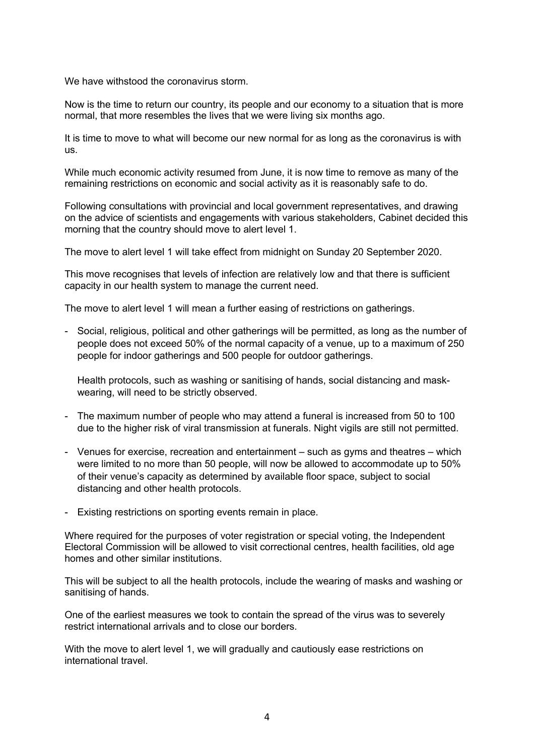We have withstood the coronavirus storm.

Now is the time to return our country, its people and our economy to a situation that is more normal, that more resembles the lives that we were living six months ago.

It is time to move to what will become our new normal for as long as the coronavirus is with us.

While much economic activity resumed from June, it is now time to remove as many of the remaining restrictions on economic and social activity as it is reasonably safe to do.

Following consultations with provincial and local government representatives, and drawing on the advice of scientists and engagements with various stakeholders, Cabinet decided this morning that the country should move to alert level 1.

The move to alert level 1 will take effect from midnight on Sunday 20 September 2020.

This move recognises that levels of infection are relatively low and that there is sufficient capacity in our health system to manage the current need.

The move to alert level 1 will mean a further easing of restrictions on gatherings.

- Social, religious, political and other gatherings will be permitted, as long as the number of people does not exceed 50% of the normal capacity of a venue, up to a maximum of 250 people for indoor gatherings and 500 people for outdoor gatherings.

Health protocols, such as washing or sanitising of hands, social distancing and maskwearing, will need to be strictly observed.

- The maximum number of people who may attend a funeral is increased from 50 to 100 due to the higher risk of viral transmission at funerals. Night vigils are still not permitted.
- Venues for exercise, recreation and entertainment such as gyms and theatres which were limited to no more than 50 people, will now be allowed to accommodate up to 50% of their venue's capacity as determined by available floor space, subject to social distancing and other health protocols.
- Existing restrictions on sporting events remain in place.

Where required for the purposes of voter reqistration or special voting, the Independent Electoral Commission will be allowed to visit correctional centres, health facilities, old age homes and other similar institutions.

This will be subject to all the health protocols, include the wearing of masks and washing or sanitising of hands.

One of the earliest measures we took to contain the spread of the virus was to severely restrict international arrivals and to close our borders.

With the move to alert level 1, we will gradually and cautiously ease restrictions on international travel.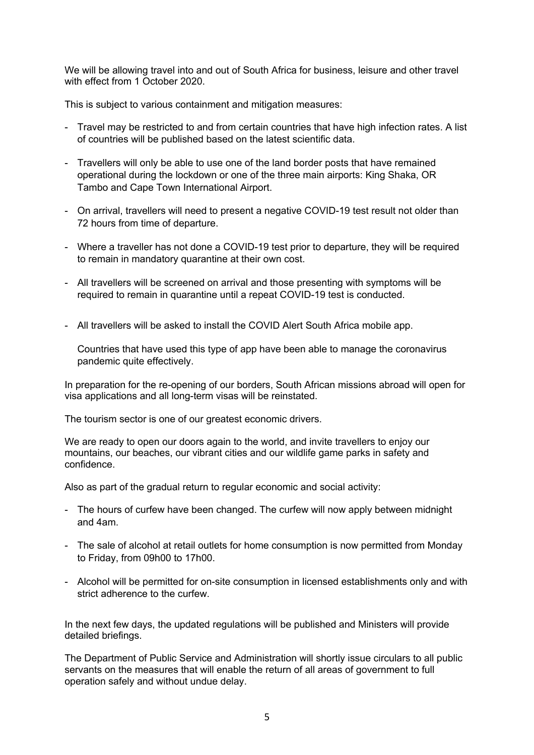We will be allowing travel into and out of South Africa for business, leisure and other travel with effect from 1 October 2020.

This is subject to various containment and mitigation measures:

- Travel may be restricted to and from certain countries that have high infection rates. A list of countries will be published based on the latest scientific data.
- Travellers will only be able to use one of the land border posts that have remained operational during the lockdown or one of the three main airports: King Shaka, OR Tambo and Cape Town International Airport.
- On arrival, travellers will need to present a negative COVID-19 test result not older than 72 hours from time of departure.
- Where a traveller has not done a COVID-19 test prior to departure, they will be required to remain in mandatory quarantine at their own cost.
- All travellers will be screened on arrival and those presenting with symptoms will be required to remain in quarantine until a repeat COVID-19 test is conducted.
- All travellers will be asked to install the COVID Alert South Africa mobile app.

Countries that have used this type of app have been able to manage the coronavirus pandemic quite effectively.

In preparation for the re-opening of our borders, South African missions abroad will open for visa applications and all long-term visas will be reinstated.

The tourism sector is one of our greatest economic drivers.

We are ready to open our doors again to the world, and invite travellers to enjoy our mountains, our beaches, our vibrant cities and our wildlife game parks in safety and confidence.

Also as part of the gradual return to regular economic and social activity:

- The hours of curfew have been changed. The curfew will now apply between midnight and 4am.
- The sale of alcohol at retail outlets for home consumption is now permitted from Monday to Friday, from 09h00 to 17h00.
- Alcohol will be permitted for on-site consumption in licensed establishments only and with strict adherence to the curfew.

In the next few days, the updated regulations will be published and Ministers will provide detailed briefings.

The Department of Public Service and Administration will shortly issue circulars to all public servants on the measures that will enable the return of all areas of government to full operation safely and without undue delay.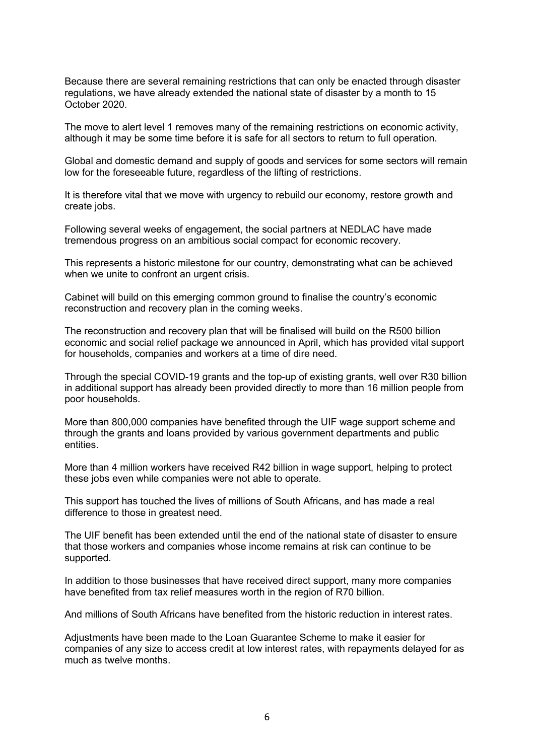Because there are several remaining restrictions that can only be enacted through disaster regulations, we have already extended the national state of disaster by a month to 15 October 2020.

The move to alert level 1 removes many of the remaining restrictions on economic activity, although it may be some time before it is safe for all sectors to return to full operation.

Global and domestic demand and supply of goods and services for some sectors will remain low for the foreseeable future, regardless of the lifting of restrictions.

It is therefore vital that we move with urgency to rebuild our economy, restore growth and create jobs.

Following several weeks of engagement, the social partners at NEDLAC have made tremendous progress on an ambitious social compact for economic recovery.

This represents a historic milestone for our country, demonstrating what can be achieved when we unite to confront an urgent crisis.

Cabinet will build on this emerging common ground to finalise the country's economic reconstruction and recovery plan in the coming weeks.

The reconstruction and recovery plan that will be finalised will build on the R500 billion economic and social relief package we announced in April, which has provided vital support for households, companies and workers at a time of dire need.

Through the special COVID-19 grants and the top-up of existing grants, well over R30 billion in additional support has already been provided directly to more than 16 million people from poor households.

More than 800,000 companies have benefited through the UIF wage support scheme and through the grants and loans provided by various government departments and public entities.

More than 4 million workers have received R42 billion in wage support, helping to protect these jobs even while companies were not able to operate.

This support has touched the lives of millions of South Africans, and has made a real difference to those in greatest need.

The UIF benefit has been extended until the end of the national state of disaster to ensure that those workers and companies whose income remains at risk can continue to be supported.

In addition to those businesses that have received direct support, many more companies have benefited from tax relief measures worth in the region of R70 billion.

And millions of South Africans have benefited from the historic reduction in interest rates.

Adjustments have been made to the Loan Guarantee Scheme to make it easier for companies of any size to access credit at low interest rates, with repayments delayed for as much as twelve months.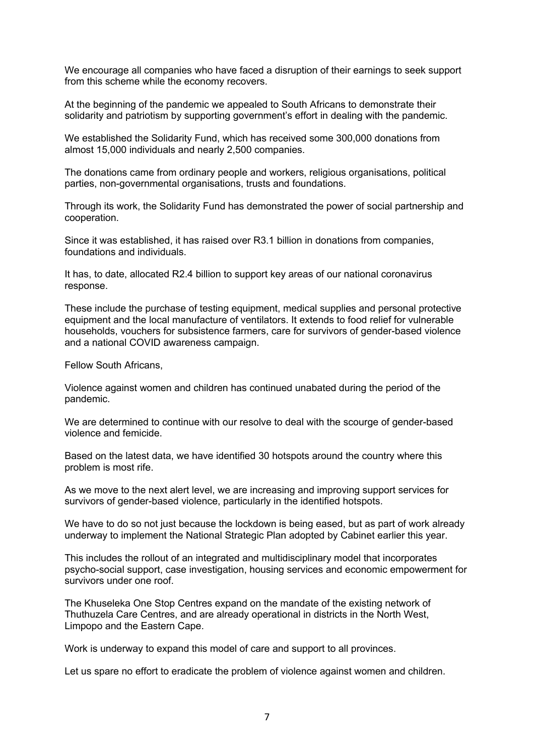We encourage all companies who have faced a disruption of their earnings to seek support from this scheme while the economy recovers.

At the beginning of the pandemic we appealed to South Africans to demonstrate their solidarity and patriotism by supporting government's effort in dealing with the pandemic.

We established the Solidarity Fund, which has received some 300,000 donations from almost 15,000 individuals and nearly 2,500 companies.

The donations came from ordinary people and workers, religious organisations, political parties, non-governmental organisations, trusts and foundations.

Through its work, the Solidarity Fund has demonstrated the power of social partnership and cooperation.

Since it was established, it has raised over R3.1 billion in donations from companies, foundations and individuals.

It has, to date, allocated R2.4 billion to support key areas of our national coronavirus response.

These include the purchase of testing equipment, medical supplies and personal protective equipment and the local manufacture of ventilators. It extends to food relief for vulnerable households, vouchers for subsistence farmers, care for survivors of gender-based violence and a national COVID awareness campaign.

Fellow South Africans,

Violence against women and children has continued unabated during the period of the pandemic.

We are determined to continue with our resolve to deal with the scourge of gender-based violence and femicide.

Based on the latest data, we have identified 30 hotspots around the country where this problem is most rife.

As we move to the next alert level, we are increasing and improving support services for survivors of gender-based violence, particularly in the identified hotspots.

We have to do so not just because the lockdown is being eased, but as part of work already underway to implement the National Strategic Plan adopted by Cabinet earlier this year.

This includes the rollout of an integrated and multidisciplinary model that incorporates psycho-social support, case investigation, housing services and economic empowerment for survivors under one roof.

The Khuseleka One Stop Centres expand on the mandate of the existing network of Thuthuzela Care Centres, and are already operational in districts in the North West, Limpopo and the Eastern Cape.

Work is underway to expand this model of care and support to all provinces.

Let us spare no effort to eradicate the problem of violence against women and children.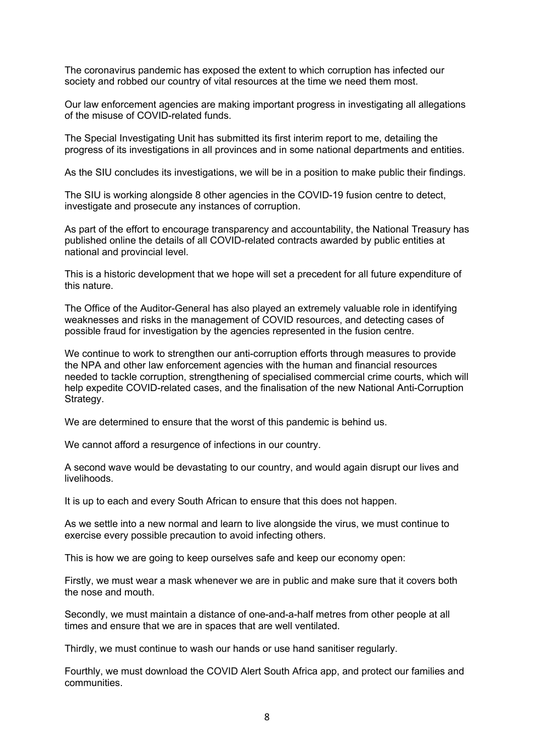The coronavirus pandemic has exposed the extent to which corruption has infected our society and robbed our country of vital resources at the time we need them most.

Our law enforcement agencies are making important progress in investigating all allegations of the misuse of COVID-related funds.

The Special Investigating Unit has submitted its first interim report to me, detailing the progress of its investigations in all provinces and in some national departments and entities.

As the SIU concludes its investigations, we will be in a position to make public their findings.

The SIU is working alongside 8 other agencies in the COVID-19 fusion centre to detect, investigate and prosecute any instances of corruption.

As part of the effort to encourage transparency and accountability, the National Treasury has published online the details of all COVID-related contracts awarded by public entities at national and provincial level.

This is a historic development that we hope will set a precedent for all future expenditure of this nature.

The Office of the Auditor-General has also played an extremely valuable role in identifying weaknesses and risks in the management of COVID resources, and detecting cases of possible fraud for investigation by the agencies represented in the fusion centre.

We continue to work to strengthen our anti-corruption efforts through measures to provide the NPA and other law enforcement agencies with the human and financial resources needed to tackle corruption, strengthening of specialised commercial crime courts, which will help expedite COVID-related cases, and the finalisation of the new National Anti-Corruption Strategy.

We are determined to ensure that the worst of this pandemic is behind us.

We cannot afford a resurgence of infections in our country.

A second wave would be devastating to our country, and would again disrupt our lives and livelihoods.

It is up to each and every South African to ensure that this does not happen.

As we settle into a new normal and learn to live alongside the virus, we must continue to exercise every possible precaution to avoid infecting others.

This is how we are going to keep ourselves safe and keep our economy open:

Firstly, we must wear a mask whenever we are in public and make sure that it covers both the nose and mouth.

Secondly, we must maintain a distance of one-and-a-half metres from other people at all times and ensure that we are in spaces that are well ventilated.

Thirdly, we must continue to wash our hands or use hand sanitiser regularly.

Fourthly, we must download the COVID Alert South Africa app, and protect our families and communities.